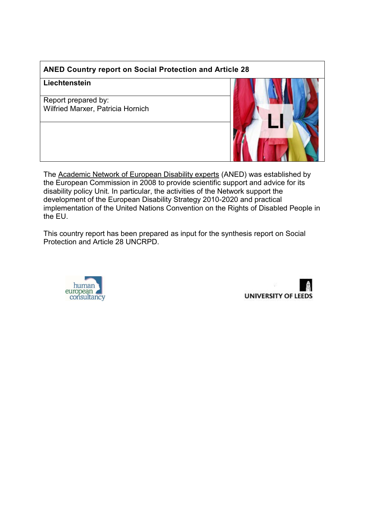# **ANED Country report on Social Protection and Article 28**

### **Liechtenstein**

Report prepared by: Wilfried Marxer, Patricia Hornich



The [Academic Network of European Disability experts](http://disability-europe.net/) (ANED) was established by the European Commission in 2008 to provide scientific support and advice for its disability policy Unit. In particular, the activities of the Network support the development of the European Disability Strategy 2010-2020 and practical implementation of the United Nations Convention on the Rights of Disabled People in the EU.

This country report has been prepared as input for the synthesis report on Social Protection and Article 28 UNCRPD.



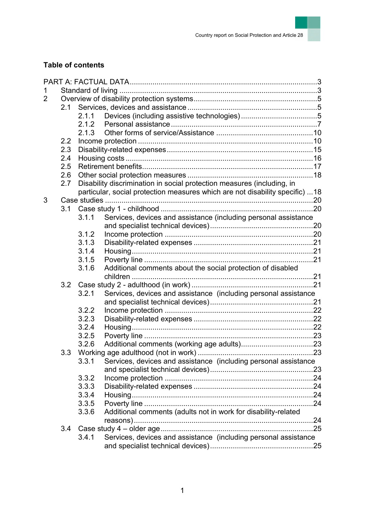

# **Table of contents**

| 1 |     |       |                                                                              |  |  |  |  |  |
|---|-----|-------|------------------------------------------------------------------------------|--|--|--|--|--|
| 2 |     |       |                                                                              |  |  |  |  |  |
|   | 2.1 |       |                                                                              |  |  |  |  |  |
|   |     | 2.1.1 |                                                                              |  |  |  |  |  |
|   |     |       |                                                                              |  |  |  |  |  |
|   |     | 2.1.3 |                                                                              |  |  |  |  |  |
|   | 2.2 |       |                                                                              |  |  |  |  |  |
|   | 2.3 |       |                                                                              |  |  |  |  |  |
|   | 2.4 |       |                                                                              |  |  |  |  |  |
|   | 2.5 |       |                                                                              |  |  |  |  |  |
|   | 2.6 |       |                                                                              |  |  |  |  |  |
|   | 2.7 |       | Disability discrimination in social protection measures (including, in       |  |  |  |  |  |
|   |     |       | particular, social protection measures which are not disability specific) 18 |  |  |  |  |  |
| 3 |     |       |                                                                              |  |  |  |  |  |
|   |     |       |                                                                              |  |  |  |  |  |
|   |     | 3.1.1 | Services, devices and assistance (including personal assistance              |  |  |  |  |  |
|   |     |       |                                                                              |  |  |  |  |  |
|   |     | 3.1.2 |                                                                              |  |  |  |  |  |
|   |     | 3.1.3 |                                                                              |  |  |  |  |  |
|   |     | 3.1.4 |                                                                              |  |  |  |  |  |
|   |     | 3.1.5 |                                                                              |  |  |  |  |  |
|   |     | 3.1.6 | Additional comments about the social protection of disabled                  |  |  |  |  |  |
|   |     |       |                                                                              |  |  |  |  |  |
|   |     |       |                                                                              |  |  |  |  |  |
|   |     | 3.2.1 | Services, devices and assistance (including personal assistance              |  |  |  |  |  |
|   |     |       |                                                                              |  |  |  |  |  |
|   |     | 3.2.2 |                                                                              |  |  |  |  |  |
|   |     | 3.2.3 |                                                                              |  |  |  |  |  |
|   |     | 3.2.4 |                                                                              |  |  |  |  |  |
|   |     | 3.2.5 |                                                                              |  |  |  |  |  |
|   |     | 3.2.6 |                                                                              |  |  |  |  |  |
|   | 3.3 |       |                                                                              |  |  |  |  |  |
|   |     | 3.3.1 | Services, devices and assistance (including personal assistance              |  |  |  |  |  |
|   |     |       |                                                                              |  |  |  |  |  |
|   |     | 3.3.2 |                                                                              |  |  |  |  |  |
|   |     | 3.3.3 |                                                                              |  |  |  |  |  |
|   |     | 3.3.4 |                                                                              |  |  |  |  |  |
|   |     | 3.3.5 |                                                                              |  |  |  |  |  |
|   |     | 3.3.6 | Additional comments (adults not in work for disability-related               |  |  |  |  |  |
|   |     |       |                                                                              |  |  |  |  |  |
|   | 3.4 |       |                                                                              |  |  |  |  |  |
|   |     | 3.4.1 | Services, devices and assistance (including personal assistance              |  |  |  |  |  |
|   |     |       |                                                                              |  |  |  |  |  |
|   |     |       |                                                                              |  |  |  |  |  |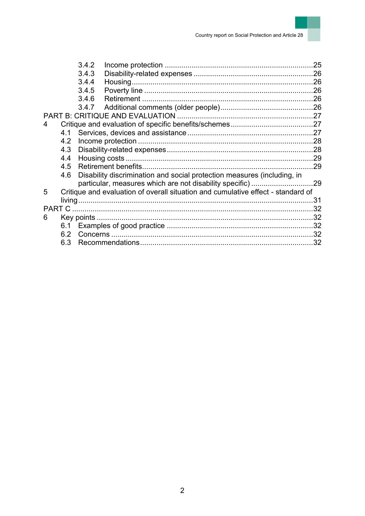|   |                                                                                  | 3.4.2                                                                   |  | 25  |  |  |  |
|---|----------------------------------------------------------------------------------|-------------------------------------------------------------------------|--|-----|--|--|--|
|   |                                                                                  | 3.4.3                                                                   |  |     |  |  |  |
|   |                                                                                  | 3.4.4                                                                   |  |     |  |  |  |
|   |                                                                                  | 3.4.5                                                                   |  | .26 |  |  |  |
|   |                                                                                  | 3.4.6                                                                   |  |     |  |  |  |
|   |                                                                                  | 3.4.7                                                                   |  |     |  |  |  |
|   |                                                                                  |                                                                         |  |     |  |  |  |
| 4 |                                                                                  |                                                                         |  |     |  |  |  |
|   | 4.1                                                                              |                                                                         |  |     |  |  |  |
|   | 4.2                                                                              |                                                                         |  |     |  |  |  |
|   | 4.3                                                                              |                                                                         |  |     |  |  |  |
|   | 4.4                                                                              |                                                                         |  |     |  |  |  |
|   | 4.5                                                                              |                                                                         |  | .29 |  |  |  |
|   | 4.6                                                                              | Disability discrimination and social protection measures (including, in |  |     |  |  |  |
|   |                                                                                  |                                                                         |  |     |  |  |  |
| 5 | Critique and evaluation of overall situation and cumulative effect - standard of |                                                                         |  |     |  |  |  |
|   |                                                                                  |                                                                         |  | .31 |  |  |  |
|   |                                                                                  |                                                                         |  |     |  |  |  |
| 6 |                                                                                  | Key points $\ldots$                                                     |  |     |  |  |  |
|   |                                                                                  |                                                                         |  |     |  |  |  |
|   | 6.2                                                                              |                                                                         |  |     |  |  |  |
|   | 6.3                                                                              |                                                                         |  |     |  |  |  |
|   |                                                                                  |                                                                         |  |     |  |  |  |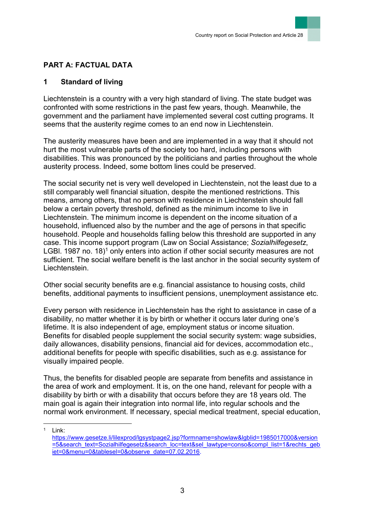# <span id="page-3-0"></span>**PART A: FACTUAL DATA**

## <span id="page-3-1"></span>**1 Standard of living**

Liechtenstein is a country with a very high standard of living. The state budget was confronted with some restrictions in the past few years, though. Meanwhile, the government and the parliament have implemented several cost cutting programs. It seems that the austerity regime comes to an end now in Liechtenstein.

The austerity measures have been and are implemented in a way that it should not hurt the most vulnerable parts of the society too hard, including persons with disabilities. This was pronounced by the politicians and parties throughout the whole austerity process. Indeed, some bottom lines could be preserved.

The social security net is very well developed in Liechtenstein, not the least due to a still comparably well financial situation, despite the mentioned restrictions. This means, among others, that no person with residence in Liechtenstein should fall below a certain poverty threshold, defined as the minimum income to live in Liechtenstein. The minimum income is dependent on the income situation of a household, influenced also by the number and the age of persons in that specific household. People and households falling below this threshold are supported in any case. This income support program (Law on Social Assistance; *Sozialhilfegesetz*, LGBI. 1987 no. 18 $)^1$  only enters into action if other social security measures are not sufficient. The social welfare benefit is the last anchor in the social security system of Liechtenstein.

Other social security benefits are e.g. financial assistance to housing costs, child benefits, additional payments to insufficient pensions, unemployment assistance etc.

Every person with residence in Liechtenstein has the right to assistance in case of a disability, no matter whether it is by birth or whether it occurs later during one's lifetime. It is also independent of age, employment status or income situation. Benefits for disabled people supplement the social security system: wage subsidies, daily allowances, disability pensions, financial aid for devices, accommodation etc., additional benefits for people with specific disabilities, such as e.g. assistance for visually impaired people.

Thus, the benefits for disabled people are separate from benefits and assistance in the area of work and employment. It is, on the one hand, relevant for people with a disability by birth or with a disability that occurs before they are 18 years old. The main goal is again their integration into normal life, into regular schools and the normal work environment. If necessary, special medical treatment, special education,

l <sup>1</sup> Link:

[https://www.gesetze.li/lilexprod/lgsystpage2.jsp?formname=showlaw&lgblid=1985017000&version](https://www.gesetze.li/lilexprod/lgsystpage2.jsp?formname=showlaw&lgblid=1985017000&version=5&search_text=Sozialhilfegesetz&search_loc=text&sel_lawtype=conso&compl_list=1&rechts_gebiet=0&menu=0&tablesel=0&observe_date=07.02.2016) [=5&search\\_text=Sozialhilfegesetz&search\\_loc=text&sel\\_lawtype=conso&compl\\_list=1&rechts\\_geb](https://www.gesetze.li/lilexprod/lgsystpage2.jsp?formname=showlaw&lgblid=1985017000&version=5&search_text=Sozialhilfegesetz&search_loc=text&sel_lawtype=conso&compl_list=1&rechts_gebiet=0&menu=0&tablesel=0&observe_date=07.02.2016) [iet=0&menu=0&tablesel=0&observe\\_date=07.02.2016.](https://www.gesetze.li/lilexprod/lgsystpage2.jsp?formname=showlaw&lgblid=1985017000&version=5&search_text=Sozialhilfegesetz&search_loc=text&sel_lawtype=conso&compl_list=1&rechts_gebiet=0&menu=0&tablesel=0&observe_date=07.02.2016)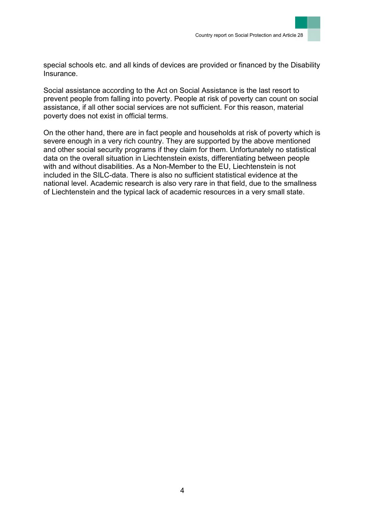

special schools etc. and all kinds of devices are provided or financed by the Disability Insurance.

Social assistance according to the Act on Social Assistance is the last resort to prevent people from falling into poverty. People at risk of poverty can count on social assistance, if all other social services are not sufficient. For this reason, material poverty does not exist in official terms.

On the other hand, there are in fact people and households at risk of poverty which is severe enough in a very rich country. They are supported by the above mentioned and other social security programs if they claim for them. Unfortunately no statistical data on the overall situation in Liechtenstein exists, differentiating between people with and without disabilities. As a Non-Member to the EU, Liechtenstein is not included in the SILC-data. There is also no sufficient statistical evidence at the national level. Academic research is also very rare in that field, due to the smallness of Liechtenstein and the typical lack of academic resources in a very small state.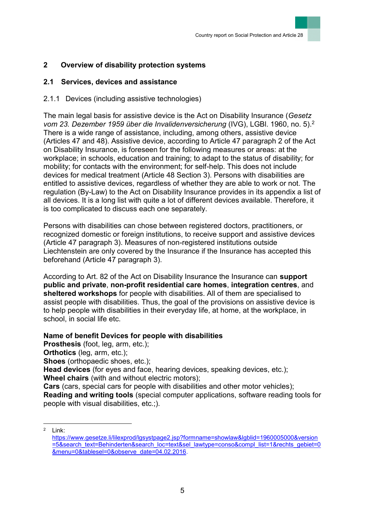# <span id="page-5-0"></span>**2 Overview of disability protection systems**

## <span id="page-5-1"></span>**2.1 Services, devices and assistance**

## <span id="page-5-2"></span>2.1.1 Devices (including assistive technologies)

The main legal basis for assistive device is the Act on Disability Insurance (*Gesetz vom 23. Dezember 1959 über die Invalidenversicherung* (IVG), LGBl. 1960, no. 5).<sup>2</sup> There is a wide range of assistance, including, among others, assistive device (Articles 47 and 48). Assistive device, according to Article 47 paragraph 2 of the Act on Disability Insurance, is foreseen for the following measures or areas: at the workplace; in schools, education and training; to adapt to the status of disability; for mobility; for contacts with the environment; for self-help. This does not include devices for medical treatment (Article 48 Section 3). Persons with disabilities are entitled to assistive devices, regardless of whether they are able to work or not. The regulation (By-Law) to the Act on Disability Insurance provides in its appendix a list of all devices. It is a long list with quite a lot of different devices available. Therefore, it is too complicated to discuss each one separately.

Persons with disabilities can chose between registered doctors, practitioners, or recognized domestic or foreign institutions, to receive support and assistive devices (Article 47 paragraph 3). Measures of non-registered institutions outside Liechtenstein are only covered by the Insurance if the Insurance has accepted this beforehand (Article 47 paragraph 3).

According to Art. 82 of the Act on Disability Insurance the Insurance can **support public and private**, **non-profit residential care homes**, **integration centres**, and **sheltered workshops** for people with disabilities. All of them are specialised to assist people with disabilities. Thus, the goal of the provisions on assistive device is to help people with disabilities in their everyday life, at home, at the workplace, in school, in social life etc.

## **Name of benefit Devices for people with disabilities**

**Prosthesis** (foot, leg, arm, etc.);

**Orthotics** (leg, arm, etc.);

**Shoes** (orthopaedic shoes, etc.);

**Head devices** (for eyes and face, hearing devices, speaking devices, etc.); **Wheel chairs** (with and without electric motors);

**Cars** (cars, special cars for people with disabilities and other motor vehicles); **Reading and writing tools** (special computer applications, software reading tools for people with visual disabilities, etc.;).

l <sup>2</sup> Link:

[https://www.gesetze.li/lilexprod/lgsystpage2.jsp?formname=showlaw&lgblid=1960005000&version](https://www.gesetze.li/lilexprod/lgsystpage2.jsp?formname=showlaw&lgblid=1960005000&version=5&search_text=Behinderten&search_loc=text&sel_lawtype=conso&compl_list=1&rechts_gebiet=0&menu=0&tablesel=0&observe_date=04.02.2016) [=5&search\\_text=Behinderten&search\\_loc=text&sel\\_lawtype=conso&compl\\_list=1&rechts\\_gebiet=0](https://www.gesetze.li/lilexprod/lgsystpage2.jsp?formname=showlaw&lgblid=1960005000&version=5&search_text=Behinderten&search_loc=text&sel_lawtype=conso&compl_list=1&rechts_gebiet=0&menu=0&tablesel=0&observe_date=04.02.2016) [&menu=0&tablesel=0&observe\\_date=04.02.2016.](https://www.gesetze.li/lilexprod/lgsystpage2.jsp?formname=showlaw&lgblid=1960005000&version=5&search_text=Behinderten&search_loc=text&sel_lawtype=conso&compl_list=1&rechts_gebiet=0&menu=0&tablesel=0&observe_date=04.02.2016)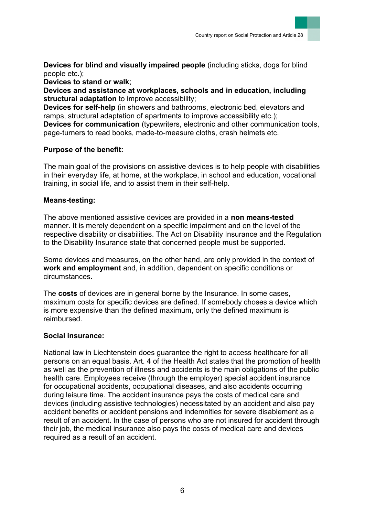**Devices for blind and visually impaired people** (including sticks, dogs for blind people etc.);

**Devices to stand or walk**;

**Devices and assistance at workplaces, schools and in education, including structural adaptation** to improve accessibility;

**Devices for self-help** (in showers and bathrooms, electronic bed, elevators and ramps, structural adaptation of apartments to improve accessibility etc.);

**Devices for communication** (typewriters, electronic and other communication tools, page-turners to read books, made-to-measure cloths, crash helmets etc.

## **Purpose of the benefit:**

The main goal of the provisions on assistive devices is to help people with disabilities in their everyday life, at home, at the workplace, in school and education, vocational training, in social life, and to assist them in their self-help.

### **Means-testing:**

The above mentioned assistive devices are provided in a **non means-tested** manner. It is merely dependent on a specific impairment and on the level of the respective disability or disabilities. The Act on Disability Insurance and the Regulation to the Disability Insurance state that concerned people must be supported.

Some devices and measures, on the other hand, are only provided in the context of **work and employment** and, in addition, dependent on specific conditions or circumstances.

The **costs** of devices are in general borne by the Insurance. In some cases, maximum costs for specific devices are defined. If somebody choses a device which is more expensive than the defined maximum, only the defined maximum is reimbursed.

### **Social insurance:**

National law in Liechtenstein does guarantee the right to access healthcare for all persons on an equal basis. Art. 4 of the Health Act states that the promotion of health as well as the prevention of illness and accidents is the main obligations of the public health care. Employees receive (through the employer) special accident insurance for occupational accidents, occupational diseases, and also accidents occurring during leisure time. The accident insurance pays the costs of medical care and devices (including assistive technologies) necessitated by an accident and also pay accident benefits or accident pensions and indemnities for severe disablement as a result of an accident. In the case of persons who are not insured for accident through their job, the medical insurance also pays the costs of medical care and devices required as a result of an accident.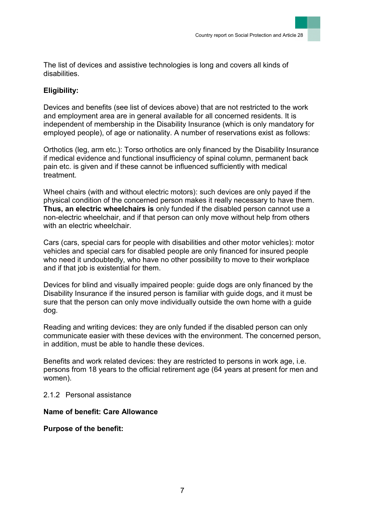The list of devices and assistive technologies is long and covers all kinds of disabilities.

## **Eligibility:**

Devices and benefits (see list of devices above) that are not restricted to the work and employment area are in general available for all concerned residents. It is independent of membership in the Disability Insurance (which is only mandatory for employed people), of age or nationality. A number of reservations exist as follows:

Orthotics (leg, arm etc.): Torso orthotics are only financed by the Disability Insurance if medical evidence and functional insufficiency of spinal column, permanent back pain etc. is given and if these cannot be influenced sufficiently with medical treatment.

Wheel chairs (with and without electric motors): such devices are only payed if the physical condition of the concerned person makes it really necessary to have them. **Thus, an electric wheelchairs is** only funded if the disabled person cannot use a non-electric wheelchair, and if that person can only move without help from others with an electric wheelchair

Cars (cars, special cars for people with disabilities and other motor vehicles): motor vehicles and special cars for disabled people are only financed for insured people who need it undoubtedly, who have no other possibility to move to their workplace and if that job is existential for them.

Devices for blind and visually impaired people: guide dogs are only financed by the Disability Insurance if the insured person is familiar with guide dogs, and it must be sure that the person can only move individually outside the own home with a guide dog.

Reading and writing devices: they are only funded if the disabled person can only communicate easier with these devices with the environment. The concerned person, in addition, must be able to handle these devices.

Benefits and work related devices: they are restricted to persons in work age, i.e. persons from 18 years to the official retirement age (64 years at present for men and women).

<span id="page-7-0"></span>2.1.2 Personal assistance

**Name of benefit: Care Allowance**

**Purpose of the benefit:**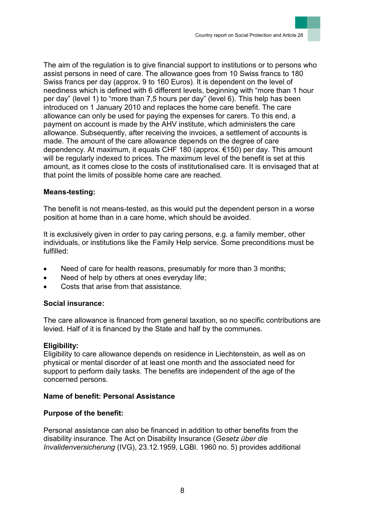The aim of the regulation is to give financial support to institutions or to persons who assist persons in need of care. The allowance goes from 10 Swiss francs to 180 Swiss francs per day (approx. 9 to 160 Euros). It is dependent on the level of neediness which is defined with 6 different levels, beginning with "more than 1 hour per day" (level 1) to "more than 7,5 hours per day" (level 6). This help has been introduced on 1 January 2010 and replaces the home care benefit. The care allowance can only be used for paying the expenses for carers. To this end, a payment on account is made by the AHV institute, which administers the care allowance. Subsequently, after receiving the invoices, a settlement of accounts is made. The amount of the care allowance depends on the degree of care dependency. At maximum, it equals CHF 180 (approx. €150) per day. This amount will be regularly indexed to prices. The maximum level of the benefit is set at this amount, as it comes close to the costs of institutionalised care. It is envisaged that at that point the limits of possible home care are reached.

### **Means-testing:**

The benefit is not means-tested, as this would put the dependent person in a worse position at home than in a care home, which should be avoided.

It is exclusively given in order to pay caring persons, e.g. a family member, other individuals, or institutions like the Family Help service. Some preconditions must be fulfilled:

- Need of care for health reasons, presumably for more than 3 months;
- Need of help by others at ones everyday life;
- Costs that arise from that assistance.

#### **Social insurance:**

The care allowance is financed from general taxation, so no specific contributions are levied. Half of it is financed by the State and half by the communes.

#### **Eligibility:**

Eligibility to care allowance depends on residence in Liechtenstein, as well as on physical or mental disorder of at least one month and the associated need for support to perform daily tasks. The benefits are independent of the age of the concerned persons.

### **Name of benefit: Personal Assistance**

### **Purpose of the benefit:**

Personal assistance can also be financed in addition to other benefits from the disability insurance. The Act on Disability Insurance (*Gesetz über die Invalidenversicherung* (IVG), 23.12.1959, LGBl. 1960 no. 5) provides additional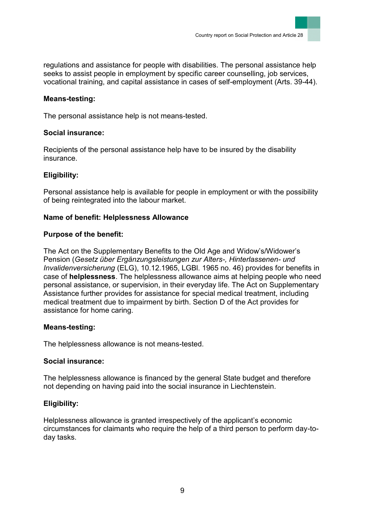regulations and assistance for people with disabilities. The personal assistance help seeks to assist people in employment by specific career counselling, job services, vocational training, and capital assistance in cases of self-employment (Arts. 39-44).

### **Means-testing:**

The personal assistance help is not means-tested.

### **Social insurance:**

Recipients of the personal assistance help have to be insured by the disability insurance.

## **Eligibility:**

Personal assistance help is available for people in employment or with the possibility of being reintegrated into the labour market.

## **Name of benefit: Helplessness Allowance**

## **Purpose of the benefit:**

The Act on the Supplementary Benefits to the Old Age and Widow's/Widower's Pension (*Gesetz über Ergänzungsleistungen zur Alters-, Hinterlassenen- und Invalidenversicherung* (ELG), 10.12.1965, LGBl. 1965 no. 46) provides for benefits in case of **helplessness**. The helplessness allowance aims at helping people who need personal assistance, or supervision, in their everyday life. The Act on Supplementary Assistance further provides for assistance for special medical treatment, including medical treatment due to impairment by birth. Section D of the Act provides for assistance for home caring.

### **Means-testing:**

The helplessness allowance is not means-tested.

### **Social insurance:**

The helplessness allowance is financed by the general State budget and therefore not depending on having paid into the social insurance in Liechtenstein.

## **Eligibility:**

Helplessness allowance is granted irrespectively of the applicant's economic circumstances for claimants who require the help of a third person to perform day-today tasks.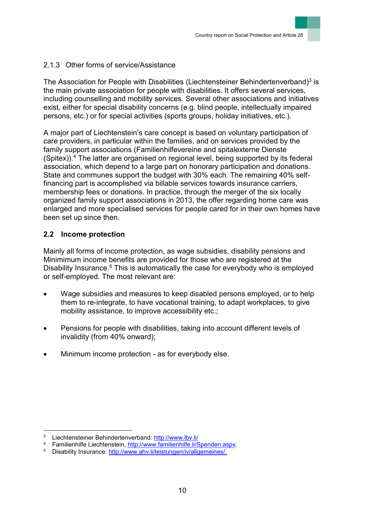## <span id="page-10-0"></span>2.1.3 Other forms of service/Assistance

The Association for People with Disabilities (Liechtensteiner Behindertenverband)<sup>3</sup> is the main private association for people with disabilities. It offers several services, including counselling and mobility services. Several other associations and initiatives exist, either for special disability concerns (e.g. blind people, intellectually impaired persons, etc.) or for special activities (sports groups, holiday initiatives, etc.).

A major part of Liechtenstein's care concept is based on voluntary participation of care providers, in particular within the families, and on services provided by the family support associations (Familienhilfevereine and spitalexterne Dienste (Spitex)). <sup>4</sup> The latter are organised on regional level, being supported by its federal association, which depend to a large part on honorary participation and donations. State and communes support the budget with 30% each. The remaining 40% selffinancing part is accomplished via billable services towards insurance carriers, membership fees or donations. In practice, through the merger of the six locally organized family support associations in 2013, the offer regarding home care was enlarged and more specialised services for people cared for in their own homes have been set up since then.

## <span id="page-10-1"></span>**2.2 Income protection**

Mainly all forms of income protection, as wage subsidies, disability pensions and Minimimum income benefits are provided for those who are registered at the Disability Insurance.<sup>5</sup> This is automatically the case for everybody who is employed or self-employed. The most relevant are:

- Wage subsidies and measures to keep disabled persons employed, or to help them to re-integrate, to have vocational training, to adapt workplaces, to give mobility assistance, to improve accessibility etc.;
- Pensions for people with disabilities, taking into account different levels of invalidity (from 40% onward);
- Minimum income protection as for everybody else.

 $\overline{a}$ 

<sup>3</sup> Liechtensteiner Behindertenverband:<http://www.lbv.li/>

<sup>4</sup> Familienhilfe Liechtenstein, [http://www.familienhilfe.li/Spenden.aspx.](http://www.familienhilfe.li/Spenden.aspx)

<sup>5</sup> Disability Insurance: [http://www.ahv.li/leistungen/iv/allgemeines/.](http://www.ahv.li/leistungen/iv/allgemeines/)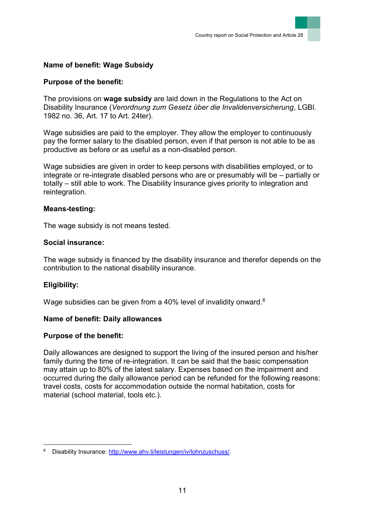## **Name of benefit: Wage Subsidy**

### **Purpose of the benefit:**

The provisions on **wage subsidy** are laid down in the Regulations to the Act on Disability Insurance (*Verordnung zum Gesetz über die Invalidenversicherung*, LGBl. 1982 no. 36, Art. 17 to Art. 24ter).

Wage subsidies are paid to the employer. They allow the employer to continuously pay the former salary to the disabled person, even if that person is not able to be as productive as before or as useful as a non-disabled person.

Wage subsidies are given in order to keep persons with disabilities employed, or to integrate or re-integrate disabled persons who are or presumably will be – partially or totally – still able to work. The Disability Insurance gives priority to integration and reintegration.

#### **Means-testing:**

The wage subsidy is not means tested.

#### **Social insurance:**

The wage subsidy is financed by the disability insurance and therefor depends on the contribution to the national disability insurance.

### **Eligibility:**

l

Wage subsidies can be given from a 40% level of invalidity onward.<sup>6</sup>

#### **Name of benefit: Daily allowances**

### **Purpose of the benefit:**

Daily allowances are designed to support the living of the insured person and his/her family during the time of re-integration. It can be said that the basic compensation may attain up to 80% of the latest salary. Expenses based on the impairment and occurred during the daily allowance period can be refunded for the following reasons: travel costs, costs for accommodation outside the normal habitation, costs for material (school material, tools etc.).

Disability Insurance: [http://www.ahv.li/leistungen/iv/lohnzuschuss/.](http://www.ahv.li/leistungen/iv/lohnzuschuss/)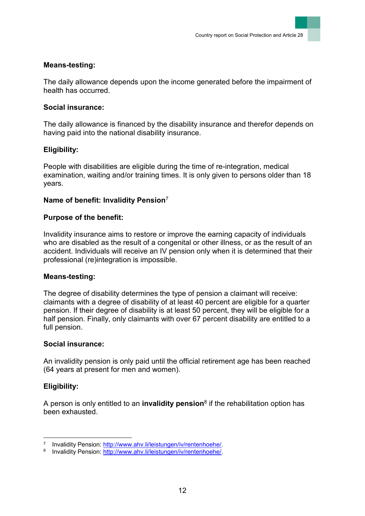#### **Means-testing:**

The daily allowance depends upon the income generated before the impairment of health has occurred.

#### **Social insurance:**

The daily allowance is financed by the disability insurance and therefor depends on having paid into the national disability insurance.

### **Eligibility:**

People with disabilities are eligible during the time of re-integration, medical examination, waiting and/or training times. It is only given to persons older than 18 years.

### **Name of benefit: Invalidity Pension**<sup>7</sup>

#### **Purpose of the benefit:**

Invalidity insurance aims to restore or improve the earning capacity of individuals who are disabled as the result of a congenital or other illness, or as the result of an accident. Individuals will receive an IV pension only when it is determined that their professional (re)integration is impossible.

#### **Means-testing:**

The degree of disability determines the type of pension a claimant will receive: claimants with a degree of disability of at least 40 percent are eligible for a quarter pension. If their degree of disability is at least 50 percent, they will be eligible for a half pension. Finally, only claimants with over 67 percent disability are entitled to a full pension.

#### **Social insurance:**

An invalidity pension is only paid until the official retirement age has been reached (64 years at present for men and women).

### **Eligibility:**

l

A person is only entitled to an **invalidity pension**<sup>8</sup> if the rehabilitation option has been exhausted.

<sup>7</sup> Invalidity Pension: [http://www.ahv.li/leistungen/iv/rentenhoehe/.](http://www.ahv.li/leistungen/iv/rentenhoehe/)

<sup>&</sup>lt;sup>8</sup> Invalidity Pension: [http://www.ahv.li/leistungen/iv/rentenhoehe/.](http://www.ahv.li/leistungen/iv/rentenhoehe/)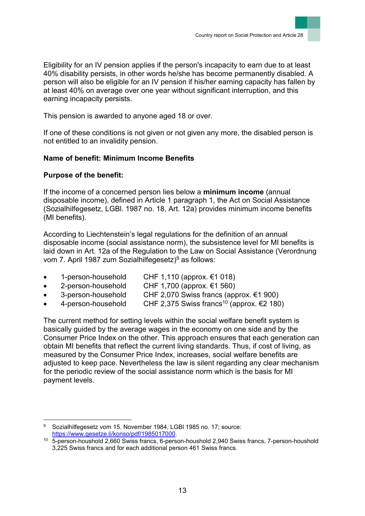Eligibility for an IV pension applies if the person's incapacity to earn due to at least 40% disability persists, in other words he/she has become permanently disabled. A person will also be eligible for an IV pension if his/her earning capacity has fallen by at least 40% on average over one year without significant interruption, and this earning incapacity persists.

This pension is awarded to anyone aged 18 or over.

If one of these conditions is not given or not given any more, the disabled person is not entitled to an invalidity pension.

## **Name of benefit: Minimum Income Benefits**

## **Purpose of the benefit:**

If the income of a concerned person lies below a **minimum income** (annual disposable income), defined in Article 1 paragraph 1, the Act on Social Assistance (Sozialhilfegesetz, LGBl. 1987 no. 18, Art. 12a) provides minimum income benefits (MI benefits).

According to Liechtenstein's legal regulations for the definition of an annual disposable income (social assistance norm), the subsistence level for MI benefits is laid down in Art. 12a of the Regulation to the Law on Social Assistance (Verordnung vom 7. April 1987 zum Sozialhilfegesetz)<sup>9</sup> as follows:

- 1-person-household CHF 1,110 (approx. €1 018)
- 2-person-household CHF 1,700 (approx. €1 560)
- 3-person-household CHF 2,070 Swiss francs (approx. €1 900)
- 4-person-household CHF 2,375 Swiss francs<sup>10</sup> (approx. €2 180)

The current method for setting levels within the social welfare benefit system is basically guided by the average wages in the economy on one side and by the Consumer Price Index on the other. This approach ensures that each generation can obtain MI benefits that reflect the current living standards. Thus, if cost of living, as measured by the Consumer Price Index, increases, social welfare benefits are adjusted to keep pace. Nevertheless the law is silent regarding any clear mechanism for the periodic review of the social assistance norm which is the basis for MI payment levels.

l <sup>9</sup> Sozialhilfegesetz vom 15. November 1984, LGBl 1985 no. 17; source: [https://www.gesetze.li/konso/pdf/1985017000.](https://www.gesetze.li/konso/pdf/1985017000)

<sup>10</sup> 5-person-houshold 2,660 Swiss francs, 6-person-houshold 2,940 Swiss francs, 7-person-houshold 3,225 Swiss francs and for each additional person 461 Swiss francs.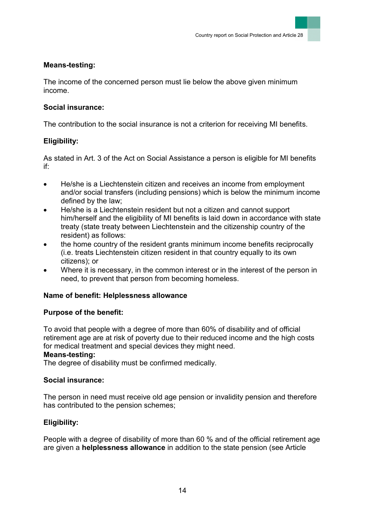### **Means-testing:**

The income of the concerned person must lie below the above given minimum income.

## **Social insurance:**

The contribution to the social insurance is not a criterion for receiving MI benefits.

## **Eligibility:**

As stated in Art. 3 of the Act on Social Assistance a person is eligible for MI benefits if:

- He/she is a Liechtenstein citizen and receives an income from employment and/or social transfers (including pensions) which is below the minimum income defined by the law;
- He/she is a Liechtenstein resident but not a citizen and cannot support him/herself and the eligibility of MI benefits is laid down in accordance with state treaty (state treaty between Liechtenstein and the citizenship country of the resident) as follows:
- the home country of the resident grants minimum income benefits reciprocally (i.e. treats Liechtenstein citizen resident in that country equally to its own citizens); or
- Where it is necessary, in the common interest or in the interest of the person in need, to prevent that person from becoming homeless.

## **Name of benefit: Helplessness allowance**

## **Purpose of the benefit:**

To avoid that people with a degree of more than 60% of disability and of official retirement age are at risk of poverty due to their reduced income and the high costs for medical treatment and special devices they might need.

### **Means-testing:**

The degree of disability must be confirmed medically.

## **Social insurance:**

The person in need must receive old age pension or invalidity pension and therefore has contributed to the pension schemes;

## **Eligibility:**

People with a degree of disability of more than 60 % and of the official retirement age are given a **helplessness allowance** in addition to the state pension (see Article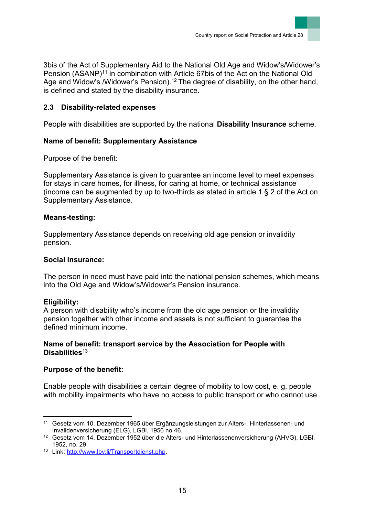

3bis of the Act of Supplementary Aid to the National Old Age and Widow's/Widower's Pension (ASANP)<sup>11</sup> in combination with Article 67bis of the Act on the National Old Age and Widow's /Widower's Pension).<sup>12</sup> The degree of disability, on the other hand, is defined and stated by the disability insurance.

# <span id="page-15-0"></span>**2.3 Disability-related expenses**

People with disabilities are supported by the national **Disability Insurance** scheme.

# **Name of benefit: Supplementary Assistance**

Purpose of the benefit:

Supplementary Assistance is given to guarantee an income level to meet expenses for stays in care homes, for illness, for caring at home, or technical assistance (income can be augmented by up to two-thirds as stated in article 1 § 2 of the Act on Supplementary Assistance.

## **Means-testing:**

Supplementary Assistance depends on receiving old age pension or invalidity pension.

## **Social insurance:**

The person in need must have paid into the national pension schemes, which means into the Old Age and Widow's/Widower's Pension insurance.

# **Eligibility:**

A person with disability who's income from the old age pension or the invalidity pension together with other income and assets is not sufficient to guarantee the defined minimum income.

## **Name of benefit: transport service by the Association for People with Disabilities**<sup>13</sup>

# **Purpose of the benefit:**

Enable people with disabilities a certain degree of mobility to low cost, e. g. people with mobility impairments who have no access to public transport or who cannot use

l <sup>11</sup> Gesetz vom 10. Dezember 1965 über Ergänzungsleistungen zur Alters-, Hinterlassenen- und Invalidenversicherung (ELG), LGBl. 1956 no 46.

<sup>&</sup>lt;sup>12</sup> Gesetz vom 14. Dezember 1952 über die Alters- und Hinterlassenenversicherung (AHVG), LGBI. 1952, no. 29.

<sup>13</sup> Link: [http://www.lbv.li/Transportdienst.php.](http://www.lbv.li/Transportdienst.php)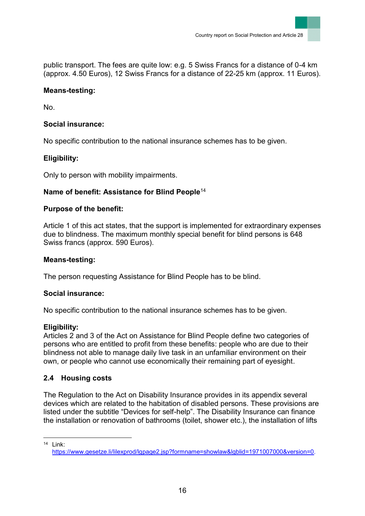public transport. The fees are quite low: e.g. 5 Swiss Francs for a distance of 0-4 km (approx. 4.50 Euros), 12 Swiss Francs for a distance of 22-25 km (approx. 11 Euros).

## **Means-testing:**

No.

## **Social insurance:**

No specific contribution to the national insurance schemes has to be given.

# **Eligibility:**

Only to person with mobility impairments.

## **Name of benefit: Assistance for Blind People**<sup>14</sup>

## **Purpose of the benefit:**

Article 1 of this act states, that the support is implemented for extraordinary expenses due to blindness. The maximum monthly special benefit for blind persons is 648 Swiss francs (approx. 590 Euros).

### **Means-testing:**

The person requesting Assistance for Blind People has to be blind.

## **Social insurance:**

No specific contribution to the national insurance schemes has to be given.

## **Eligibility:**

Articles 2 and 3 of the Act on Assistance for Blind People define two categories of persons who are entitled to profit from these benefits: people who are due to their blindness not able to manage daily live task in an unfamiliar environment on their own, or people who cannot use economically their remaining part of eyesight.

## <span id="page-16-0"></span>**2.4 Housing costs**

The Regulation to the Act on Disability Insurance provides in its appendix several devices which are related to the habitation of disabled persons. These provisions are listed under the subtitle "Devices for self-help". The Disability Insurance can finance the installation or renovation of bathrooms (toilet, shower etc.), the installation of lifts

l  $14$  Link<sup> $\cdot$ </sup> [https://www.gesetze.li/lilexprod/lgpage2.jsp?formname=showlaw&lgblid=1971007000&version=0.](https://www.gesetze.li/lilexprod/lgpage2.jsp?formname=showlaw&lgblid=1971007000&version=0)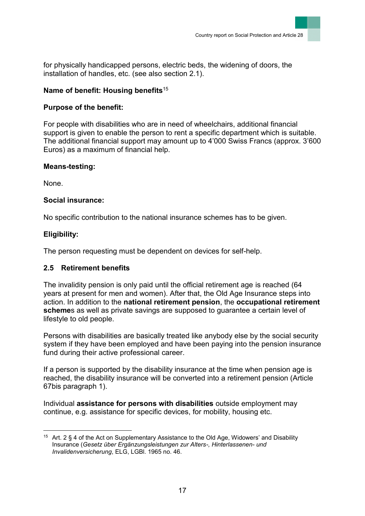for physically handicapped persons, electric beds, the widening of doors, the installation of handles, etc. (see also section 2.1).

## **Name of benefit: Housing benefits**<sup>15</sup>

## **Purpose of the benefit:**

For people with disabilities who are in need of wheelchairs, additional financial support is given to enable the person to rent a specific department which is suitable. The additional financial support may amount up to 4'000 Swiss Francs (approx. 3'600 Euros) as a maximum of financial help.

### **Means-testing:**

None.

### **Social insurance:**

No specific contribution to the national insurance schemes has to be given.

## **Eligibility:**

The person requesting must be dependent on devices for self-help.

### <span id="page-17-0"></span>**2.5 Retirement benefits**

The invalidity pension is only paid until the official retirement age is reached (64 years at present for men and women). After that, the Old Age Insurance steps into action. In addition to the **national retirement pension**, the **occupational retirement scheme**s as well as private savings are supposed to guarantee a certain level of lifestyle to old people.

Persons with disabilities are basically treated like anybody else by the social security system if they have been employed and have been paying into the pension insurance fund during their active professional career.

If a person is supported by the disability insurance at the time when pension age is reached, the disability insurance will be converted into a retirement pension (Article 67bis paragraph 1).

Individual **assistance for persons with disabilities** outside employment may continue, e.g. assistance for specific devices, for mobility, housing etc.

 $\overline{a}$ <sup>15</sup> Art. 2  $\S$  4 of the Act on Supplementary Assistance to the Old Age, Widowers' and Disability Insurance (*Gesetz über Ergänzungsleistungen zur Alters-, Hinterlassenen- und Invalidenversicherung*, ELG, LGBl. 1965 no. 46.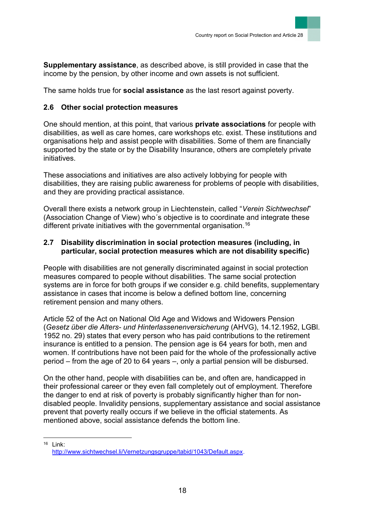**Supplementary assistance**, as described above, is still provided in case that the income by the pension, by other income and own assets is not sufficient.

The same holds true for **social assistance** as the last resort against poverty.

## <span id="page-18-0"></span>**2.6 Other social protection measures**

One should mention, at this point, that various **private associations** for people with disabilities, as well as care homes, care workshops etc. exist. These institutions and organisations help and assist people with disabilities. Some of them are financially supported by the state or by the Disability Insurance, others are completely private initiatives.

These associations and initiatives are also actively lobbying for people with disabilities, they are raising public awareness for problems of people with disabilities, and they are providing practical assistance.

Overall there exists a network group in Liechtenstein, called "*Verein Sichtwechsel*" (Association Change of View) who´s objective is to coordinate and integrate these different private initiatives with the governmental organisation.<sup>16</sup>

## <span id="page-18-1"></span>**2.7 Disability discrimination in social protection measures (including, in particular, social protection measures which are not disability specific)**

People with disabilities are not generally discriminated against in social protection measures compared to people without disabilities. The same social protection systems are in force for both groups if we consider e.g. child benefits, supplementary assistance in cases that income is below a defined bottom line, concerning retirement pension and many others.

Article 52 of the Act on National Old Age and Widows and Widowers Pension (*Gesetz über die Alters- und Hinterlassenenversicherung* (AHVG), 14.12.1952, LGBl. 1952 no. 29) states that every person who has paid contributions to the retirement insurance is entitled to a pension. The pension age is 64 years for both, men and women. If contributions have not been paid for the whole of the professionally active period – from the age of 20 to 64 years –, only a partial pension will be disbursed.

On the other hand, people with disabilities can be, and often are, handicapped in their professional career or they even fall completely out of employment. Therefore the danger to end at risk of poverty is probably significantly higher than for nondisabled people. Invalidity pensions, supplementary assistance and social assistance prevent that poverty really occurs if we believe in the official statements. As mentioned above, social assistance defends the bottom line.

l <sup>16</sup> Link: [http://www.sichtwechsel.li/Vernetzungsgruppe/tabid/1043/Default.aspx.](http://www.sichtwechsel.li/Vernetzungsgruppe/tabid/1043/Default.aspx)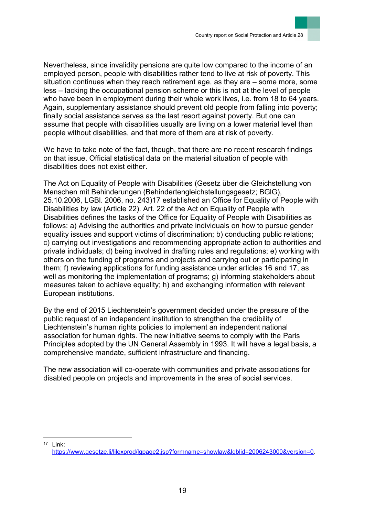Nevertheless, since invalidity pensions are quite low compared to the income of an employed person, people with disabilities rather tend to live at risk of poverty. This situation continues when they reach retirement age, as they are – some more, some less – lacking the occupational pension scheme or this is not at the level of people who have been in employment during their whole work lives, i.e. from 18 to 64 years. Again, supplementary assistance should prevent old people from falling into poverty; finally social assistance serves as the last resort against poverty. But one can assume that people with disabilities usually are living on a lower material level than people without disabilities, and that more of them are at risk of poverty.

We have to take note of the fact, though, that there are no recent research findings on that issue. Official statistical data on the material situation of people with disabilities does not exist either.

The Act on Equality of People with Disabilities (Gesetz über die Gleichstellung von Menschen mit Behinderungen (Behindertengleichstellungsgesetz; BGlG), 25.10.2006, LGBl. 2006, no. 243)17 established an Office for Equality of People with Disabilities by law (Article 22). Art. 22 of the Act on Equality of People with Disabilities defines the tasks of the Office for Equality of People with Disabilities as follows: a) Advising the authorities and private individuals on how to pursue gender equality issues and support victims of discrimination; b) conducting public relations; c) carrying out investigations and recommending appropriate action to authorities and private individuals; d) being involved in drafting rules and regulations; e) working with others on the funding of programs and projects and carrying out or participating in them; f) reviewing applications for funding assistance under articles 16 and 17, as well as monitoring the implementation of programs; g) informing stakeholders about measures taken to achieve equality; h) and exchanging information with relevant European institutions.

By the end of 2015 Liechtenstein's government decided under the pressure of the public request of an independent institution to strengthen the credibility of Liechtenstein's human rights policies to implement an independent national association for human rights. The new initiative seems to comply with the [Paris](http://www.nhri.net/pdf/GAres1993.pdf)  [Principles](http://www.nhri.net/pdf/GAres1993.pdf) adopted by the UN General Assembly in 1993. It will have a legal basis, a comprehensive mandate, sufficient infrastructure and financing.

The new association will co-operate with communities and private associations for disabled people on projects and improvements in the area of social services.

l <sup>17</sup> Link: [https://www.gesetze.li/lilexprod/lgpage2.jsp?formname=showlaw&lgblid=2006243000&version=0.](https://www.gesetze.li/lilexprod/lgpage2.jsp?formname=showlaw&lgblid=2006243000&version=0)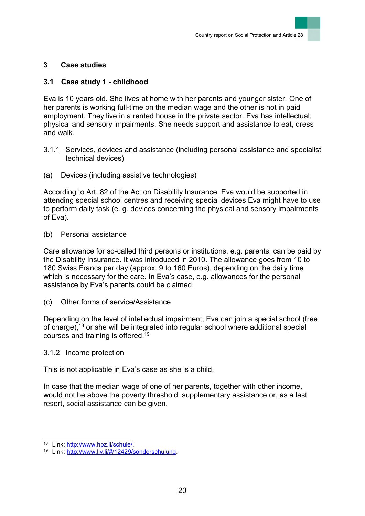## <span id="page-20-0"></span>**3 Case studies**

## <span id="page-20-1"></span>**3.1 Case study 1 - childhood**

Eva is 10 years old. She lives at home with her parents and younger sister. One of her parents is working full-time on the median wage and the other is not in paid employment. They live in a rented house in the private sector. Eva has intellectual, physical and sensory impairments. She needs support and assistance to eat, dress and walk.

- <span id="page-20-2"></span>3.1.1 Services, devices and assistance (including personal assistance and specialist technical devices)
- (a) Devices (including assistive technologies)

According to Art. 82 of the Act on Disability Insurance, Eva would be supported in attending special school centres and receiving special devices Eva might have to use to perform daily task (e. g. devices concerning the physical and sensory impairments of Eva).

(b) Personal assistance

Care allowance for so-called third persons or institutions, e.g. parents, can be paid by the Disability Insurance. It was introduced in 2010. The allowance goes from 10 to 180 Swiss Francs per day (approx. 9 to 160 Euros), depending on the daily time which is necessary for the care. In Eva's case, e.g. allowances for the personal assistance by Eva's parents could be claimed.

(c) Other forms of service/Assistance

Depending on the level of intellectual impairment, Eva can join a special school (free of charge), <sup>18</sup> or she will be integrated into regular school where additional special courses and training is offered.<sup>19</sup>

#### <span id="page-20-3"></span>3.1.2 Income protection

This is not applicable in Eva's case as she is a child.

In case that the median wage of one of her parents, together with other income, would not be above the poverty threshold, supplementary assistance or, as a last resort, social assistance can be given.

l

<sup>18</sup> Link: [http://www.hpz.li/schule/.](http://www.hpz.li/schule/)

<sup>19</sup> Link: [http://www.llv.li/#/12429/sonderschulung.](http://www.llv.li/#/12429/sonderschulung)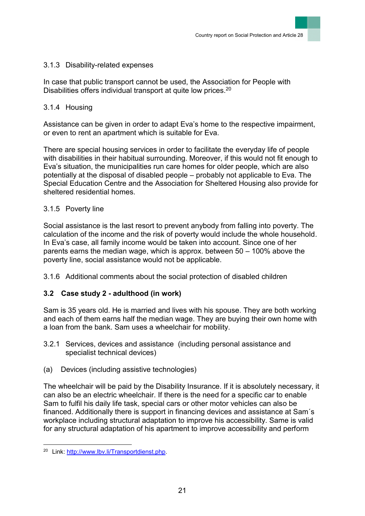### <span id="page-21-0"></span>3.1.3 Disability-related expenses

In case that public transport cannot be used, the Association for People with Disabilities offers individual transport at quite low prices.<sup>20</sup>

## <span id="page-21-1"></span>3.1.4 Housing

Assistance can be given in order to adapt Eva's home to the respective impairment, or even to rent an apartment which is suitable for Eva.

There are special housing services in order to facilitate the everyday life of people with disabilities in their habitual surrounding. Moreover, if this would not fit enough to Eva's situation, the municipalities run care homes for older people, which are also potentially at the disposal of disabled people – probably not applicable to Eva. The Special Education Centre and the Association for Sheltered Housing also provide for sheltered residential homes.

## <span id="page-21-2"></span>3.1.5 Poverty line

Social assistance is the last resort to prevent anybody from falling into poverty. The calculation of the income and the risk of poverty would include the whole household. In Eva's case, all family income would be taken into account. Since one of her parents earns the median wage, which is approx. between 50 – 100% above the poverty line, social assistance would not be applicable.

<span id="page-21-3"></span>3.1.6 Additional comments about the social protection of disabled children

## <span id="page-21-4"></span>**3.2 Case study 2 - adulthood (in work)**

Sam is 35 years old. He is married and lives with his spouse. They are both working and each of them earns half the median wage. They are buying their own home with a loan from the bank. Sam uses a wheelchair for mobility.

- <span id="page-21-5"></span>3.2.1 Services, devices and assistance (including personal assistance and specialist technical devices)
- (a) Devices (including assistive technologies)

The wheelchair will be paid by the Disability Insurance. If it is absolutely necessary, it can also be an electric wheelchair. If there is the need for a specific car to enable Sam to fulfil his daily life task, special cars or other motor vehicles can also be financed. Additionally there is support in financing devices and assistance at Sam´s workplace including structural adaptation to improve his accessibility. Same is valid for any structural adaptation of his apartment to improve accessibility and perform

l

<sup>20</sup> Link: [http://www.lbv.li/Transportdienst.php.](http://www.lbv.li/Transportdienst.php)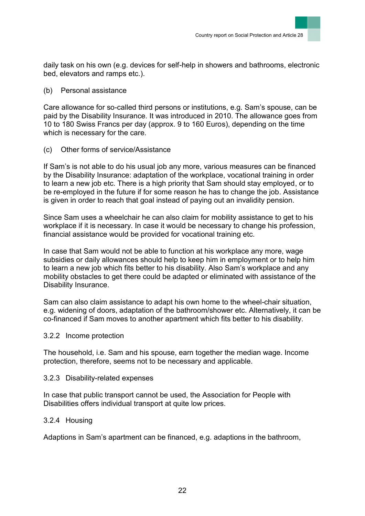daily task on his own (e.g. devices for self-help in showers and bathrooms, electronic bed, elevators and ramps etc.).

### (b) Personal assistance

Care allowance for so-called third persons or institutions, e.g. Sam's spouse, can be paid by the Disability Insurance. It was introduced in 2010. The allowance goes from 10 to 180 Swiss Francs per day (approx. 9 to 160 Euros), depending on the time which is necessary for the care.

## (c) Other forms of service/Assistance

If Sam's is not able to do his usual job any more, various measures can be financed by the Disability Insurance: adaptation of the workplace, vocational training in order to learn a new job etc. There is a high priority that Sam should stay employed, or to be re-employed in the future if for some reason he has to change the job. Assistance is given in order to reach that goal instead of paying out an invalidity pension.

Since Sam uses a wheelchair he can also claim for mobility assistance to get to his workplace if it is necessary. In case it would be necessary to change his profession, financial assistance would be provided for vocational training etc.

In case that Sam would not be able to function at his workplace any more, wage subsidies or daily allowances should help to keep him in employment or to help him to learn a new job which fits better to his disability. Also Sam's workplace and any mobility obstacles to get there could be adapted or eliminated with assistance of the Disability Insurance.

Sam can also claim assistance to adapt his own home to the wheel-chair situation, e.g. widening of doors, adaptation of the bathroom/shower etc. Alternatively, it can be co-financed if Sam moves to another apartment which fits better to his disability.

### <span id="page-22-0"></span>3.2.2 Income protection

The household, i.e. Sam and his spouse, earn together the median wage. Income protection, therefore, seems not to be necessary and applicable.

### <span id="page-22-1"></span>3.2.3 Disability-related expenses

In case that public transport cannot be used, the Association for People with Disabilities offers individual transport at quite low prices.

## <span id="page-22-2"></span>3.2.4 Housing

Adaptions in Sam's apartment can be financed, e.g. adaptions in the bathroom,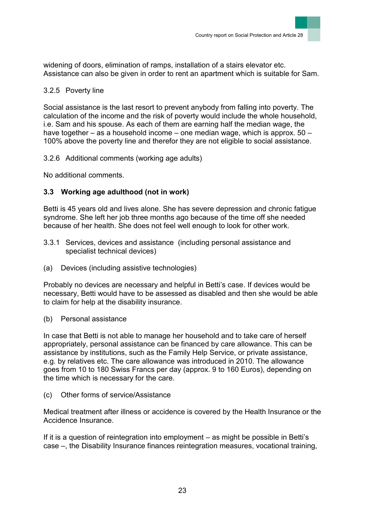widening of doors, elimination of ramps, installation of a stairs elevator etc. Assistance can also be given in order to rent an apartment which is suitable for Sam.

## <span id="page-23-0"></span>3.2.5 Poverty line

Social assistance is the last resort to prevent anybody from falling into poverty. The calculation of the income and the risk of poverty would include the whole household, i.e. Sam and his spouse. As each of them are earning half the median wage, the have together – as a household income – one median wage, which is approx. 50 – 100% above the poverty line and therefor they are not eligible to social assistance.

<span id="page-23-1"></span>3.2.6 Additional comments (working age adults)

No additional comments.

# <span id="page-23-2"></span>**3.3 Working age adulthood (not in work)**

Betti is 45 years old and lives alone. She has severe depression and chronic fatigue syndrome. She left her job three months ago because of the time off she needed because of her health. She does not feel well enough to look for other work.

- <span id="page-23-3"></span>3.3.1 Services, devices and assistance (including personal assistance and specialist technical devices)
- (a) Devices (including assistive technologies)

Probably no devices are necessary and helpful in Betti's case. If devices would be necessary, Betti would have to be assessed as disabled and then she would be able to claim for help at the disability insurance.

(b) Personal assistance

In case that Betti is not able to manage her household and to take care of herself appropriately, personal assistance can be financed by care allowance. This can be assistance by institutions, such as the Family Help Service, or private assistance, e.g. by relatives etc. The care allowance was introduced in 2010. The allowance goes from 10 to 180 Swiss Francs per day (approx. 9 to 160 Euros), depending on the time which is necessary for the care.

(c) Other forms of service/Assistance

Medical treatment after illness or accidence is covered by the Health Insurance or the Accidence Insurance.

If it is a question of reintegration into employment – as might be possible in Betti's case –, the Disability Insurance finances reintegration measures, vocational training,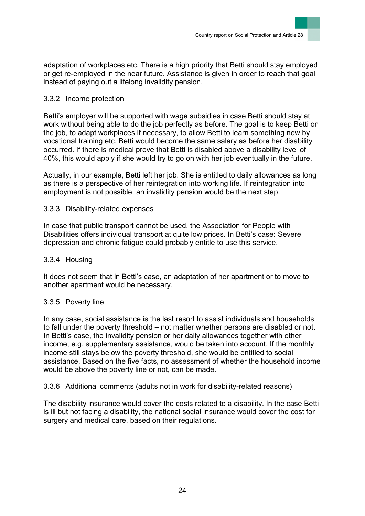adaptation of workplaces etc. There is a high priority that Betti should stay employed or get re-employed in the near future. Assistance is given in order to reach that goal instead of paying out a lifelong invalidity pension.

### <span id="page-24-0"></span>3.3.2 Income protection

Betti's employer will be supported with wage subsidies in case Betti should stay at work without being able to do the job perfectly as before. The goal is to keep Betti on the job, to adapt workplaces if necessary, to allow Betti to learn something new by vocational training etc. Betti would become the same salary as before her disability occurred. If there is medical prove that Betti is disabled above a disability level of 40%, this would apply if she would try to go on with her job eventually in the future.

Actually, in our example, Betti left her job. She is entitled to daily allowances as long as there is a perspective of her reintegration into working life. If reintegration into employment is not possible, an invalidity pension would be the next step.

### <span id="page-24-1"></span>3.3.3 Disability-related expenses

In case that public transport cannot be used, the Association for People with Disabilities offers individual transport at quite low prices. In Betti's case: Severe depression and chronic fatigue could probably entitle to use this service.

### <span id="page-24-2"></span>3.3.4 Housing

It does not seem that in Betti's case, an adaptation of her apartment or to move to another apartment would be necessary.

### <span id="page-24-3"></span>3.3.5 Poverty line

In any case, social assistance is the last resort to assist individuals and households to fall under the poverty threshold – not matter whether persons are disabled or not. In Betti's case, the invalidity pension or her daily allowances together with other income, e.g. supplementary assistance, would be taken into account. If the monthly income still stays below the poverty threshold, she would be entitled to social assistance. Based on the five facts, no assessment of whether the household income would be above the poverty line or not, can be made.

<span id="page-24-4"></span>3.3.6 Additional comments (adults not in work for disability-related reasons)

The disability insurance would cover the costs related to a disability. In the case Betti is ill but not facing a disability, the national social insurance would cover the cost for surgery and medical care, based on their regulations.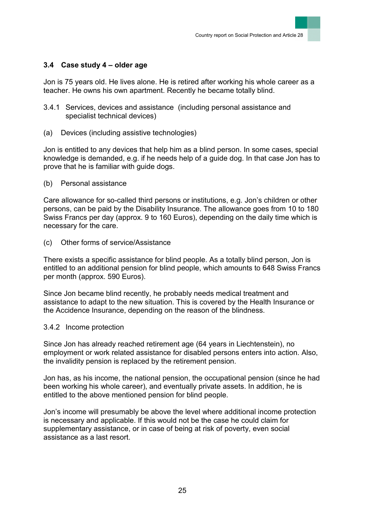## <span id="page-25-0"></span>**3.4 Case study 4 – older age**

Jon is 75 years old. He lives alone. He is retired after working his whole career as a teacher. He owns his own apartment. Recently he became totally blind.

- <span id="page-25-1"></span>3.4.1 Services, devices and assistance (including personal assistance and specialist technical devices)
- (a) Devices (including assistive technologies)

Jon is entitled to any devices that help him as a blind person. In some cases, special knowledge is demanded, e.g. if he needs help of a guide dog. In that case Jon has to prove that he is familiar with guide dogs.

(b) Personal assistance

Care allowance for so-called third persons or institutions, e.g. Jon's children or other persons, can be paid by the Disability Insurance. The allowance goes from 10 to 180 Swiss Francs per day (approx. 9 to 160 Euros), depending on the daily time which is necessary for the care.

(c) Other forms of service/Assistance

There exists a specific assistance for blind people. As a totally blind person, Jon is entitled to an additional pension for blind people, which amounts to 648 Swiss Francs per month (approx. 590 Euros).

Since Jon became blind recently, he probably needs medical treatment and assistance to adapt to the new situation. This is covered by the Health Insurance or the Accidence Insurance, depending on the reason of the blindness.

#### <span id="page-25-2"></span>3.4.2 Income protection

Since Jon has already reached retirement age (64 years in Liechtenstein), no employment or work related assistance for disabled persons enters into action. Also, the invalidity pension is replaced by the retirement pension.

Jon has, as his income, the national pension, the occupational pension (since he had been working his whole career), and eventually private assets. In addition, he is entitled to the above mentioned pension for blind people.

Jon's income will presumably be above the level where additional income protection is necessary and applicable. If this would not be the case he could claim for supplementary assistance, or in case of being at risk of poverty, even social assistance as a last resort.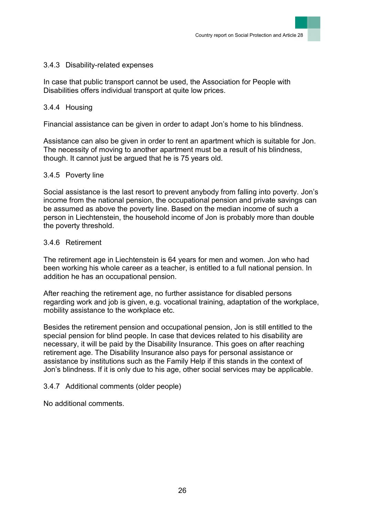#### <span id="page-26-0"></span>3.4.3 Disability-related expenses

In case that public transport cannot be used, the Association for People with Disabilities offers individual transport at quite low prices.

#### <span id="page-26-1"></span>3.4.4 Housing

Financial assistance can be given in order to adapt Jon's home to his blindness.

Assistance can also be given in order to rent an apartment which is suitable for Jon. The necessity of moving to another apartment must be a result of his blindness, though. It cannot just be argued that he is 75 years old.

#### <span id="page-26-2"></span>3.4.5 Poverty line

Social assistance is the last resort to prevent anybody from falling into poverty. Jon's income from the national pension, the occupational pension and private savings can be assumed as above the poverty line. Based on the median income of such a person in Liechtenstein, the household income of Jon is probably more than double the poverty threshold.

#### <span id="page-26-3"></span>3.4.6 Retirement

The retirement age in Liechtenstein is 64 years for men and women. Jon who had been working his whole career as a teacher, is entitled to a full national pension. In addition he has an occupational pension.

After reaching the retirement age, no further assistance for disabled persons regarding work and job is given, e.g. vocational training, adaptation of the workplace, mobility assistance to the workplace etc.

Besides the retirement pension and occupational pension, Jon is still entitled to the special pension for blind people. In case that devices related to his disability are necessary, it will be paid by the Disability Insurance. This goes on after reaching retirement age. The Disability Insurance also pays for personal assistance or assistance by institutions such as the Family Help if this stands in the context of Jon's blindness. If it is only due to his age, other social services may be applicable.

### <span id="page-26-4"></span>3.4.7 Additional comments (older people)

No additional comments.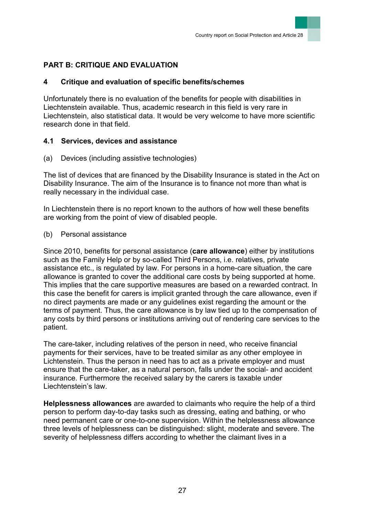# <span id="page-27-0"></span>**PART B: CRITIQUE AND EVALUATION**

## <span id="page-27-1"></span>**4 Critique and evaluation of specific benefits/schemes**

Unfortunately there is no evaluation of the benefits for people with disabilities in Liechtenstein available. Thus, academic research in this field is very rare in Liechtenstein, also statistical data. It would be very welcome to have more scientific research done in that field.

## <span id="page-27-2"></span>**4.1 Services, devices and assistance**

(a) Devices (including assistive technologies)

The list of devices that are financed by the Disability Insurance is stated in the Act on Disability Insurance. The aim of the Insurance is to finance not more than what is really necessary in the individual case.

In Liechtenstein there is no report known to the authors of how well these benefits are working from the point of view of disabled people.

(b) Personal assistance

Since 2010, benefits for personal assistance (**care allowance**) either by institutions such as the Family Help or by so-called Third Persons, i.e. relatives, private assistance etc., is regulated by law. For persons in a home-care situation, the care allowance is granted to cover the additional care costs by being supported at home. This implies that the care supportive measures are based on a rewarded contract. In this case the benefit for carers is implicit granted through the care allowance, even if no direct payments are made or any guidelines exist regarding the amount or the terms of payment. Thus, the care allowance is by law tied up to the compensation of any costs by third persons or institutions arriving out of rendering care services to the patient.

The care-taker, including relatives of the person in need, who receive financial payments for their services, have to be treated similar as any other employee in Lichtenstein. Thus the person in need has to act as a private employer and must ensure that the care-taker, as a natural person, falls under the social- and accident insurance. Furthermore the received salary by the carers is taxable under Liechtenstein's law.

**Helplessness allowances** are awarded to claimants who require the help of a third person to perform day-to-day tasks such as dressing, eating and bathing, or who need permanent care or one-to-one supervision. Within the helplessness allowance three levels of helplessness can be distinguished: slight, moderate and severe. The severity of helplessness differs according to whether the claimant lives in a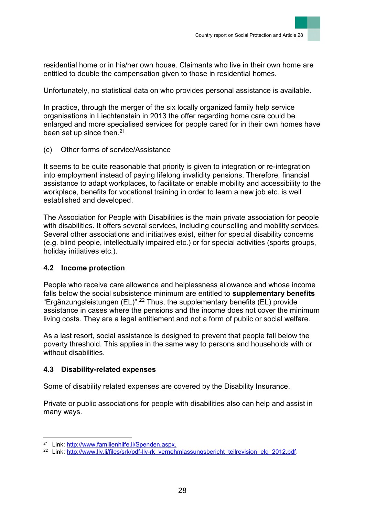residential home or in his/her own house. Claimants who live in their own home are entitled to double the compensation given to those in residential homes.

Unfortunately, no statistical data on who provides personal assistance is available.

In practice, through the merger of the six locally organized family help service organisations in Liechtenstein in 2013 the offer regarding home care could be enlarged and more specialised services for people cared for in their own homes have been set up since then. $21$ 

(c) Other forms of service/Assistance

It seems to be quite reasonable that priority is given to integration or re-integration into employment instead of paying lifelong invalidity pensions. Therefore, financial assistance to adapt workplaces, to facilitate or enable mobility and accessibility to the workplace, benefits for vocational training in order to learn a new job etc. is well established and developed.

The Association for People with Disabilities is the main private association for people with disabilities. It offers several services, including counselling and mobility services. Several other associations and initiatives exist, either for special disability concerns (e.g. blind people, intellectually impaired etc.) or for special activities (sports groups, holiday initiatives etc.).

### <span id="page-28-0"></span>**4.2 Income protection**

People who receive care allowance and helplessness allowance and whose income falls below the social subsistence minimum are entitled to **supplementary benefits** "Ergänzungsleistungen (EL)".<sup>22</sup> Thus, the supplementary benefits (EL) provide assistance in cases where the pensions and the income does not cover the minimum living costs. They are a legal entitlement and not a form of public or social welfare.

As a last resort, social assistance is designed to prevent that people fall below the poverty threshold. This applies in the same way to persons and households with or without disabilities.

## <span id="page-28-1"></span>**4.3 Disability-related expenses**

Some of disability related expenses are covered by the Disability Insurance.

Private or public associations for people with disabilities also can help and assist in many ways.

l

<sup>21</sup> Link: http://www.familienhilfe.li/Spenden.aspx.

<sup>&</sup>lt;sup>22</sup> Link: [http://www.llv.li/files/srk/pdf-llv-rk\\_vernehmlassungsbericht\\_teilrevision\\_elg\\_2012.pdf.](http://www.llv.li/files/srk/pdf-llv-rk_vernehmlassungsbericht_teilrevision_elg_2012.pdf)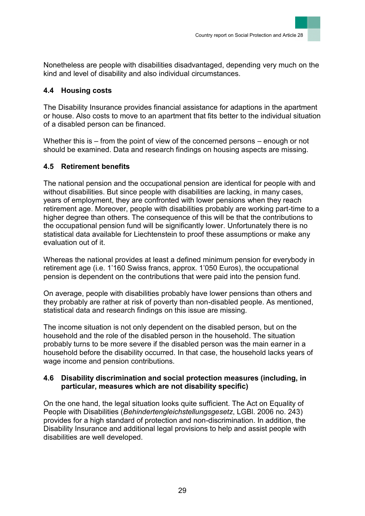Nonetheless are people with disabilities disadvantaged, depending very much on the kind and level of disability and also individual circumstances.

## <span id="page-29-0"></span>**4.4 Housing costs**

The Disability Insurance provides financial assistance for adaptions in the apartment or house. Also costs to move to an apartment that fits better to the individual situation of a disabled person can be financed.

Whether this is – from the point of view of the concerned persons – enough or not should be examined. Data and research findings on housing aspects are missing.

## <span id="page-29-1"></span>**4.5 Retirement benefits**

The national pension and the occupational pension are identical for people with and without disabilities. But since people with disabilities are lacking, in many cases, years of employment, they are confronted with lower pensions when they reach retirement age. Moreover, people with disabilities probably are working part-time to a higher degree than others. The consequence of this will be that the contributions to the occupational pension fund will be significantly lower. Unfortunately there is no statistical data available for Liechtenstein to proof these assumptions or make any evaluation out of it.

Whereas the national provides at least a defined minimum pension for everybody in retirement age (i.e. 1'160 Swiss francs, approx. 1'050 Euros), the occupational pension is dependent on the contributions that were paid into the pension fund.

On average, people with disabilities probably have lower pensions than others and they probably are rather at risk of poverty than non-disabled people. As mentioned, statistical data and research findings on this issue are missing.

The income situation is not only dependent on the disabled person, but on the household and the role of the disabled person in the household. The situation probably turns to be more severe if the disabled person was the main earner in a household before the disability occurred. In that case, the household lacks years of wage income and pension contributions.

### <span id="page-29-2"></span>**4.6 Disability discrimination and social protection measures (including, in particular, measures which are not disability specific)**

On the one hand, the legal situation looks quite sufficient. The Act on Equality of People with Disabilities (*Behindertengleichstellungsgesetz*, LGBl. 2006 no. 243) provides for a high standard of protection and non-discrimination. In addition, the Disability Insurance and additional legal provisions to help and assist people with disabilities are well developed.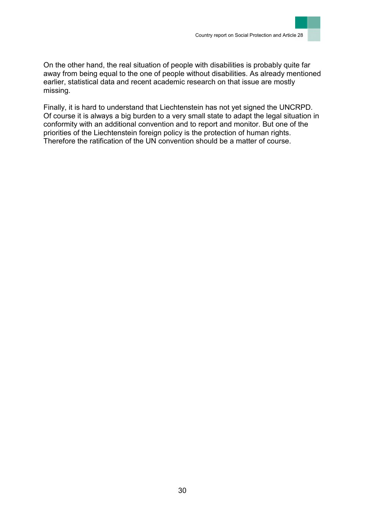

On the other hand, the real situation of people with disabilities is probably quite far away from being equal to the one of people without disabilities. As already mentioned earlier, statistical data and recent academic research on that issue are mostly missing.

Finally, it is hard to understand that Liechtenstein has not yet signed the UNCRPD. Of course it is always a big burden to a very small state to adapt the legal situation in conformity with an additional convention and to report and monitor. But one of the priorities of the Liechtenstein foreign policy is the protection of human rights. Therefore the ratification of the UN convention should be a matter of course.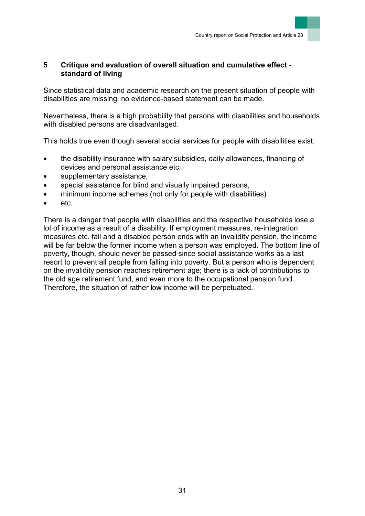## <span id="page-31-0"></span>**5 Critique and evaluation of overall situation and cumulative effect standard of living**

Since statistical data and academic research on the present situation of people with disabilities are missing, no evidence-based statement can be made.

Nevertheless, there is a high probability that persons with disabilities and households with disabled persons are disadvantaged.

This holds true even though several social services for people with disabilities exist:

- the disability insurance with salary subsidies, daily allowances, financing of devices and personal assistance etc.,
- supplementary assistance,
- special assistance for blind and visually impaired persons,
- minimum income schemes (not only for people with disabilities)
- etc.

There is a danger that people with disabilities and the respective households lose a lot of income as a result of a disability. If employment measures, re-integration measures etc. fail and a disabled person ends with an invalidity pension, the income will be far below the former income when a person was employed. The bottom line of poverty, though, should never be passed since social assistance works as a last resort to prevent all people from falling into poverty. But a person who is dependent on the invalidity pension reaches retirement age; there is a lack of contributions to the old age retirement fund, and even more to the occupational pension fund. Therefore, the situation of rather low income will be perpetuated.